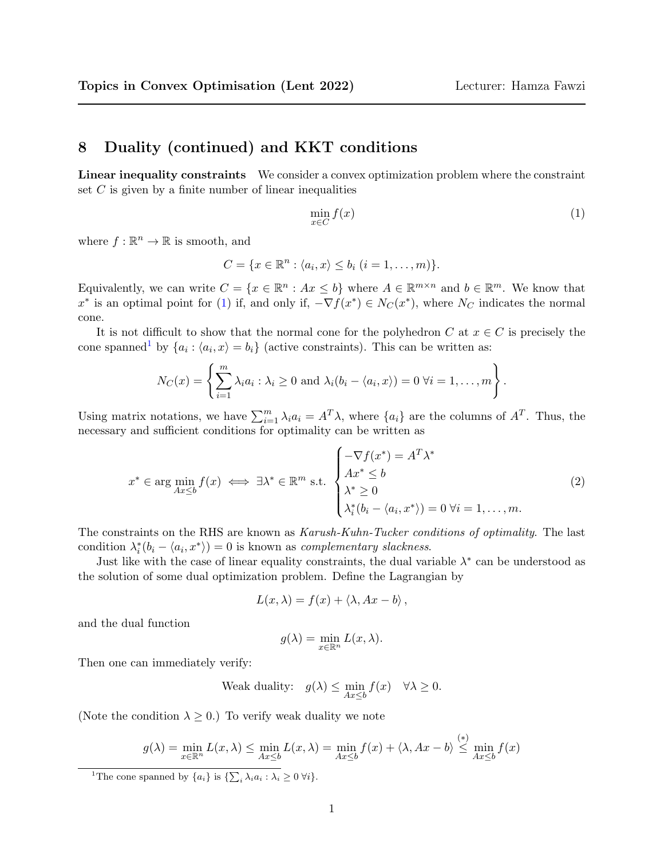## 8 Duality (continued) and KKT conditions

Linear inequality constraints We consider a convex optimization problem where the constraint set  $C$  is given by a finite number of linear inequalities

<span id="page-0-0"></span>
$$
\min_{x \in C} f(x) \tag{1}
$$

where  $f : \mathbb{R}^n \to \mathbb{R}$  is smooth, and

$$
C = \{x \in \mathbb{R}^n : \langle a_i, x \rangle \le b_i \ (i = 1, \dots, m)\}.
$$

Equivalently, we can write  $C = \{x \in \mathbb{R}^n : Ax \leq b\}$  where  $A \in \mathbb{R}^{m \times n}$  and  $b \in \mathbb{R}^m$ . We know that  $x^*$  is an optimal point for [\(1\)](#page-0-0) if, and only if,  $-\nabla f(x^*) \in N_C(x^*)$ , where  $N_C$  indicates the normal cone.

It is not difficult to show that the normal cone for the polyhedron C at  $x \in C$  is precisely the cone spanned<sup>[1](#page-0-1)</sup> by  $\{a_i : \langle a_i, x \rangle = b_i\}$  (active constraints). This can be written as:

$$
N_C(x) = \left\{ \sum_{i=1}^m \lambda_i a_i : \lambda_i \geq 0 \text{ and } \lambda_i(b_i - \langle a_i, x \rangle) = 0 \ \forall i = 1, \dots, m \right\}.
$$

Using matrix notations, we have  $\sum_{i=1}^{m} \lambda_i a_i = A^T \lambda$ , where  $\{a_i\}$  are the columns of  $A^T$ . Thus, the necessary and sufficient conditions for optimality can be written as

<span id="page-0-2"></span>
$$
x^* \in \arg\min_{Ax \leq b} f(x) \iff \exists \lambda^* \in \mathbb{R}^m \text{ s.t. } \begin{cases} -\nabla f(x^*) = A^T \lambda^* \\ Ax^* \leq b \\ \lambda^* \geq 0 \\ \lambda_i^*(b_i - \langle a_i, x^* \rangle) = 0 \ \forall i = 1, \dots, m. \end{cases} \tag{2}
$$

The constraints on the RHS are known as Karush-Kuhn-Tucker conditions of optimality. The last condition  $\lambda_i^*(b_i - \langle a_i, x^* \rangle) = 0$  is known as *complementary slackness*.

Just like with the case of linear equality constraints, the dual variable  $\lambda^*$  can be understood as the solution of some dual optimization problem. Define the Lagrangian by

$$
L(x,\lambda) = f(x) + \langle \lambda, Ax - b \rangle,
$$

and the dual function

$$
g(\lambda) = \min_{x \in \mathbb{R}^n} L(x, \lambda).
$$

Then one can immediately verify:

$$
\text{Weak duality:} \quad g(\lambda) \le \min_{Ax \le b} f(x) \quad \forall \lambda \ge 0.
$$

(Note the condition  $\lambda \geq 0$ .) To verify weak duality we note

$$
g(\lambda) = \min_{x \in \mathbb{R}^n} L(x, \lambda) \le \min_{Ax \le b} L(x, \lambda) = \min_{Ax \le b} f(x) + \langle \lambda, Ax - b \rangle \stackrel{(*)}{\le} \min_{Ax \le b} f(x)
$$

<span id="page-0-1"></span><sup>&</sup>lt;sup>1</sup>The cone spanned by  $\{a_i\}$  is  $\{\sum_i \lambda_i a_i : \lambda_i \geq 0 \,\forall i\}.$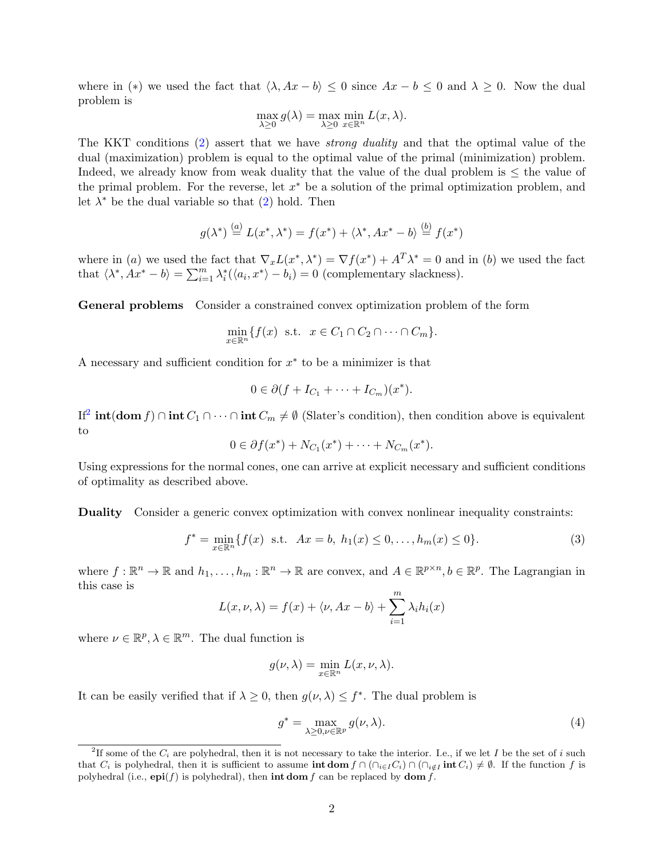where in (\*) we used the fact that  $\langle \lambda, Ax - b \rangle \leq 0$  since  $Ax - b \leq 0$  and  $\lambda \geq 0$ . Now the dual problem is

$$
\max_{\lambda \ge 0} g(\lambda) = \max_{\lambda \ge 0} \min_{x \in \mathbb{R}^n} L(x, \lambda).
$$

The KKT conditions [\(2\)](#page-0-2) assert that we have strong duality and that the optimal value of the dual (maximization) problem is equal to the optimal value of the primal (minimization) problem. Indeed, we already know from weak duality that the value of the dual problem is  $\leq$  the value of the primal problem. For the reverse, let  $x^*$  be a solution of the primal optimization problem, and let  $\lambda^*$  be the dual variable so that  $(2)$  hold. Then

$$
g(\lambda^*) \stackrel{(a)}{=} L(x^*, \lambda^*) = f(x^*) + \langle \lambda^*, Ax^* - b \rangle \stackrel{(b)}{=} f(x^*)
$$

where in (a) we used the fact that  $\nabla_x L(x^*, \lambda^*) = \nabla f(x^*) + A^T \lambda^* = 0$  and in (b) we used the fact that  $\langle \lambda^*, Ax^* - b \rangle = \sum_{i=1}^m \lambda_i^* (\langle a_i, x^* \rangle - b_i) = 0$  (complementary slackness).

General problems Consider a constrained convex optimization problem of the form

$$
\min_{x \in \mathbb{R}^n} \{ f(x) \text{ s.t. } x \in C_1 \cap C_2 \cap \dots \cap C_m \}.
$$

A necessary and sufficient condition for  $x^*$  to be a minimizer is that

$$
0 \in \partial (f + I_{C_1} + \cdots + I_{C_m})(x^*).
$$

If<sup>[2](#page-1-0)</sup> int(dom f) ∩ int  $C_1 \cap \cdots \cap$  int  $C_m \neq \emptyset$  (Slater's condition), then condition above is equivalent to

$$
0 \in \partial f(x^*) + N_{C_1}(x^*) + \cdots + N_{C_m}(x^*).
$$

Using expressions for the normal cones, one can arrive at explicit necessary and sufficient conditions of optimality as described above.

Duality Consider a generic convex optimization with convex nonlinear inequality constraints:

<span id="page-1-1"></span>
$$
f^* = \min_{x \in \mathbb{R}^n} \{ f(x) \text{ s.t. } Ax = b, h_1(x) \le 0, \dots, h_m(x) \le 0 \}. \tag{3}
$$

where  $f: \mathbb{R}^n \to \mathbb{R}$  and  $h_1, \ldots, h_m: \mathbb{R}^n \to \mathbb{R}$  are convex, and  $A \in \mathbb{R}^{p \times n}, b \in \mathbb{R}^p$ . The Lagrangian in this case is

$$
L(x, \nu, \lambda) = f(x) + \langle \nu, Ax - b \rangle + \sum_{i=1}^{m} \lambda_i h_i(x)
$$

where  $\nu \in \mathbb{R}^p, \lambda \in \mathbb{R}^m$ . The dual function is

$$
g(\nu, \lambda) = \min_{x \in \mathbb{R}^n} L(x, \nu, \lambda).
$$

It can be easily verified that if  $\lambda \geq 0$ , then  $g(\nu, \lambda) \leq f^*$ . The dual problem is

<span id="page-1-2"></span>
$$
g^* = \max_{\lambda \ge 0, \nu \in \mathbb{R}^p} g(\nu, \lambda).
$$
 (4)

<span id="page-1-0"></span><sup>&</sup>lt;sup>2</sup>If some of the  $C_i$  are polyhedral, then it is not necessary to take the interior. I.e., if we let I be the set of i such that  $C_i$  is polyhedral, then it is sufficient to assume int dom  $f \cap (\bigcap_{i \in I} C_i) \cap (\bigcap_{i \in I} \text{int } C_i) \neq \emptyset$ . If the function f is polyhedral (i.e.,  $epi(f)$  is polyhedral), then int dom f can be replaced by dom f.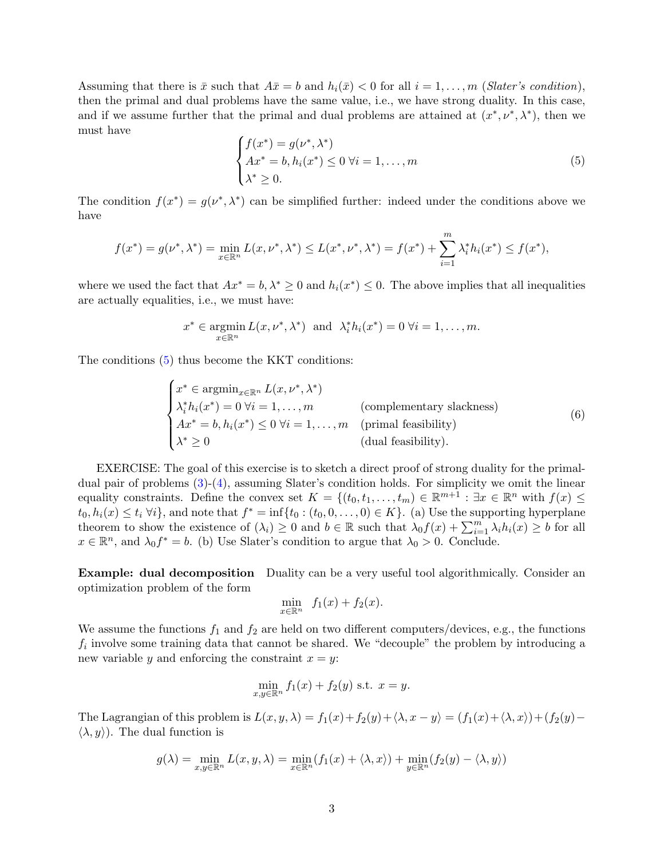Assuming that there is  $\bar{x}$  such that  $A\bar{x} = b$  and  $h_i(\bar{x}) < 0$  for all  $i = 1, \ldots, m$  (*Slater's condition*), then the primal and dual problems have the same value, i.e., we have strong duality. In this case, and if we assume further that the primal and dual problems are attained at  $(x^*, \nu^*, \lambda^*)$ , then we must have

<span id="page-2-0"></span>
$$
\begin{cases}\nf(x^*) = g(\nu^*, \lambda^*) \\
Ax^* = b, h_i(x^*) \le 0 \,\forall i = 1, ..., m \\
\lambda^* \ge 0.\n\end{cases}
$$
\n(5)

The condition  $f(x^*) = g(\nu^*, \lambda^*)$  can be simplified further: indeed under the conditions above we have

$$
f(x^*) = g(\nu^*, \lambda^*) = \min_{x \in \mathbb{R}^n} L(x, \nu^*, \lambda^*) \le L(x^*, \nu^*, \lambda^*) = f(x^*) + \sum_{i=1}^m \lambda_i^* h_i(x^*) \le f(x^*),
$$

where we used the fact that  $Ax^* = b$ ,  $\lambda^* \geq 0$  and  $h_i(x^*) \leq 0$ . The above implies that all inequalities are actually equalities, i.e., we must have:

$$
x^* \in \operatorname*{argmin}_{x \in \mathbb{R}^n} L(x, \nu^*, \lambda^*) \text{ and } \lambda_i^* h_i(x^*) = 0 \ \forall i = 1, \dots, m.
$$

The conditions [\(5\)](#page-2-0) thus become the KKT conditions:

$$
\begin{cases}\nx^* \in \operatorname{argmin}_{x \in \mathbb{R}^n} L(x, \nu^*, \lambda^*) \\
\lambda_i^* h_i(x^*) = 0 \,\forall i = 1, \dots, m \\
Ax^* = b, h_i(x^*) \le 0 \,\forall i = 1, \dots, m \quad \text{(primal feasibility)} \\
\lambda^* \ge 0 \qquad \text{(dual feasibility)}.\n\end{cases} \tag{6}
$$

EXERCISE: The goal of this exercise is to sketch a direct proof of strong duality for the primaldual pair of problems  $(3)-(4)$  $(3)-(4)$  $(3)-(4)$ , assuming Slater's condition holds. For simplicity we omit the linear equality constraints. Define the convex set  $K = \{(t_0, t_1, \ldots, t_m) \in \mathbb{R}^{m+1} : \exists x \in \mathbb{R}^n \text{ with } f(x) \leq$  $t_0, h_i(x) \leq t_i \,\forall i$ , and note that  $f^* = \inf\{t_0 : (t_0, 0, \ldots, 0) \in K\}$ . (a) Use the supporting hyperplane theorem to show the existence of  $(\lambda_i) \geq 0$  and  $b \in \mathbb{R}$  such that  $\lambda_0 f(x) + \sum_{i=1}^m \lambda_i h_i(x) \geq b$  for all  $x \in \mathbb{R}^n$ , and  $\lambda_0 f^* = b$ . (b) Use Slater's condition to argue that  $\lambda_0 > 0$ . Conclude.

Example: dual decomposition Duality can be a very useful tool algorithmically. Consider an optimization problem of the form

$$
\min_{x \in \mathbb{R}^n} f_1(x) + f_2(x).
$$

We assume the functions  $f_1$  and  $f_2$  are held on two different computers/devices, e.g., the functions  $f_i$  involve some training data that cannot be shared. We "decouple" the problem by introducing a new variable y and enforcing the constraint  $x = y$ :

$$
\min_{x,y \in \mathbb{R}^n} f_1(x) + f_2(y) \text{ s.t. } x = y.
$$

The Lagrangian of this problem is  $L(x, y, \lambda) = f_1(x) + f_2(y) + \langle \lambda, x - y \rangle = (f_1(x) + \langle \lambda, x \rangle) + (f_2(y) \langle \lambda, y \rangle$ . The dual function is

$$
g(\lambda) = \min_{x,y \in \mathbb{R}^n} L(x,y,\lambda) = \min_{x \in \mathbb{R}^n} (f_1(x) + \langle \lambda, x \rangle) + \min_{y \in \mathbb{R}^n} (f_2(y) - \langle \lambda, y \rangle)
$$